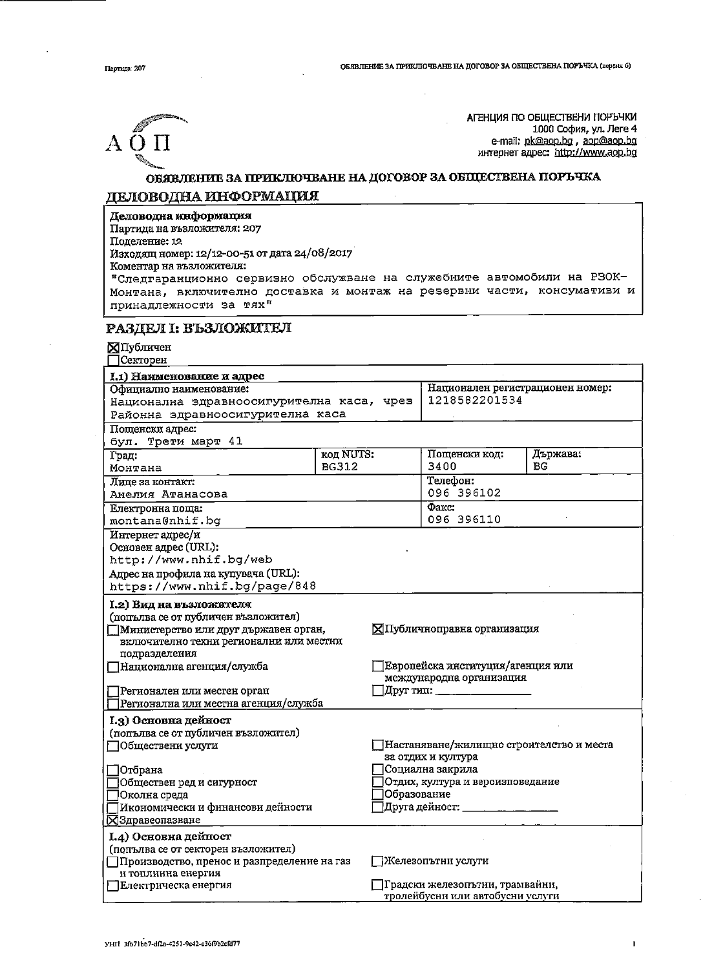

АГЕНЦИЯ ПО ОБЩЕСТВЕНИ ПОРЪЧКИ 1000 София, ул. Леге 4 e-mail: pk@aop.bg , aop@aop.bg интернет адрес: http://www.aop.bg

## ОБЯВЛЕНИЕ ЗА ПРИКЛЮЧВАНЕ НА ДОГОВОР ЗА ОБЩЕСТВЕНА ПОРЪЧКА ДЕЛОВОДНА ИНФОРМАЦИЯ

## Деловодна кнформация

Партида на възложителя: 207

Поделение: 12

Изходящ номер: 12/12-00-51 от дата 24/08/2017

Коментар на възложителя:

"Следгаранционно сервизно обслужване на служебните автомобили на РЗОК-Монтана, включително доставка и монтаж на резервни части, консумативи и принадлежности за тях"

## РАЗДЕЛ І: ВЪЗЛОЖИТЕЛ

## **X**Публичен

Секторен

| I.1) Наименование и адрес                   |              |                                                                     |                                          |          |  |  |
|---------------------------------------------|--------------|---------------------------------------------------------------------|------------------------------------------|----------|--|--|
| Официално наименование:                     |              |                                                                     | Национален регистрационен номер:         |          |  |  |
| Национална здравноосигурителна каса, чрез   |              |                                                                     | 1218582201534                            |          |  |  |
| Районна эдравноосигурителна каса            |              |                                                                     |                                          |          |  |  |
| Пощенски адрес:                             |              |                                                                     |                                          |          |  |  |
| бул. Трети март 41                          |              |                                                                     |                                          |          |  |  |
| Град:                                       | код NUTS:    |                                                                     | Пощенски код:                            | Държава: |  |  |
| Монтана                                     | <b>BG312</b> |                                                                     | 3400                                     | BC       |  |  |
| Лице за контакт:                            |              |                                                                     | Телефон:                                 |          |  |  |
| Анелия Атанасова                            |              |                                                                     | 096 396102                               |          |  |  |
| Електронна поща:                            |              | Факс:                                                               |                                          |          |  |  |
| montana@nhif.bg                             |              |                                                                     | 096 396110                               |          |  |  |
| Интернет адрес/и                            |              |                                                                     |                                          |          |  |  |
| Основен адрес (URL):                        |              |                                                                     |                                          |          |  |  |
| http://www.nhif.bg/web                      |              |                                                                     |                                          |          |  |  |
| Адрес на профила на купувача (URL):         |              |                                                                     |                                          |          |  |  |
| https://www.nhif.bg/page/848                |              |                                                                     |                                          |          |  |  |
| I.2) Вид на възложителя                     |              |                                                                     |                                          |          |  |  |
| (попълва се от публичен възложител)         |              |                                                                     |                                          |          |  |  |
| Министерство или друг държавен орган,       |              |                                                                     | ⊠Публичноправна организация              |          |  |  |
| включително техни регионални или местни     |              |                                                                     |                                          |          |  |  |
| подразделения                               |              |                                                                     |                                          |          |  |  |
| ∏Национална агенция/служба                  |              |                                                                     | Европейска институция/агенция или        |          |  |  |
|                                             |              |                                                                     | международна организация                 |          |  |  |
| ∏Регионален или местен орган                |              |                                                                     |                                          |          |  |  |
| Регионална или местна агенция/служба        |              |                                                                     |                                          |          |  |  |
| I.3) Основна дейност                        |              |                                                                     |                                          |          |  |  |
| (попълва се от публичен възложител)         |              |                                                                     |                                          |          |  |  |
| ∃Обществени услуги                          |              |                                                                     | Настаняване/жилищно строителство и места |          |  |  |
|                                             |              |                                                                     | за отдих и култура                       |          |  |  |
| 70тбрана                                    |              |                                                                     | Социална закрила                         |          |  |  |
| Обществен ред и сигурност                   |              | Отдих, култура и вероизповедание                                    |                                          |          |  |  |
| ]Околна среда                               |              | Образование                                                         |                                          |          |  |  |
| Икономически и финансови дейности           |              | Друга дейност: ______                                               |                                          |          |  |  |
| <b>N</b> Здравеопазване                     |              |                                                                     |                                          |          |  |  |
| I.4) Основна дейност                        |              |                                                                     |                                          |          |  |  |
| (попълва се от секторен възложител)         |              |                                                                     |                                          |          |  |  |
| Производство, пренос и разпределение на газ |              |                                                                     | ]Железопътни услуги                      |          |  |  |
| и топлинна енергия                          |              |                                                                     |                                          |          |  |  |
| Електрическа енергия                        |              | Традски железопътни, трамвайни,<br>тролейбусни или автобусни услуги |                                          |          |  |  |
|                                             |              |                                                                     |                                          |          |  |  |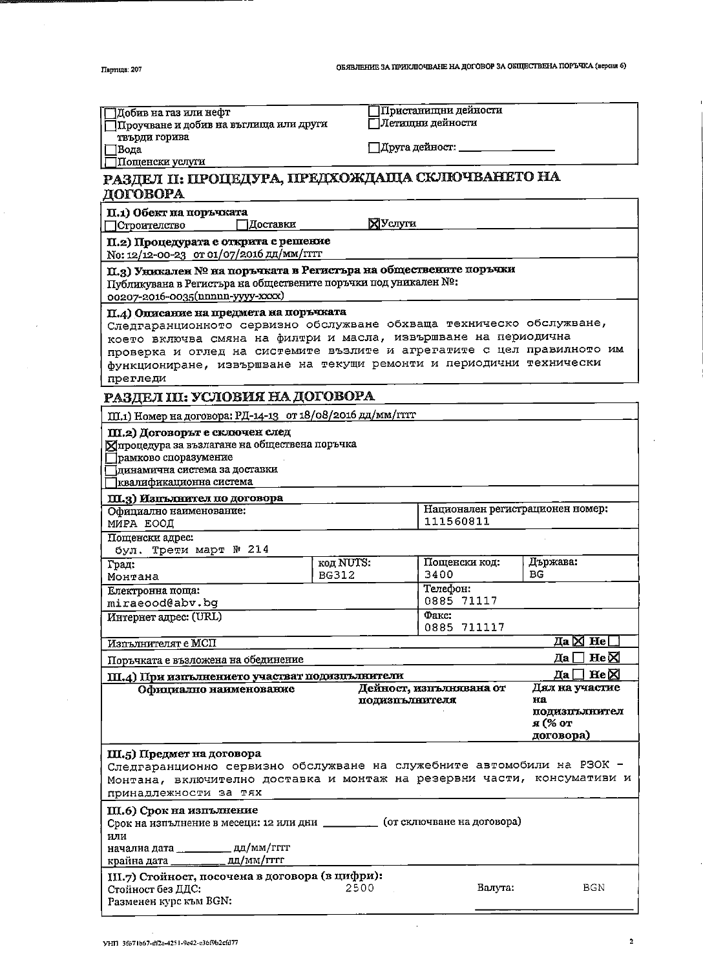$\bar{z}$ 

| Добив на газ или нефт<br>Проучване и добив на въглища или други                                                                                                                                                                                                                          |              | Пристанищни дейности<br>Летищни дейности  |                                                               |  |  |  |  |
|------------------------------------------------------------------------------------------------------------------------------------------------------------------------------------------------------------------------------------------------------------------------------------------|--------------|-------------------------------------------|---------------------------------------------------------------|--|--|--|--|
| твърди горива<br>ПВода                                                                                                                                                                                                                                                                   |              | Друга дейност: _                          |                                                               |  |  |  |  |
| ∏Пощенски услуги                                                                                                                                                                                                                                                                         |              |                                           |                                                               |  |  |  |  |
| РАЗДЕЛ II: ПРОЦЕДУРА, ПРЕДХОЖДАЩА СКЛЮЧВАНЕТО НА<br>ДОГОВОРА                                                                                                                                                                                                                             |              |                                           |                                                               |  |  |  |  |
| П.1) Обект на поръчжата<br>∃Доставки<br>□Строителство                                                                                                                                                                                                                                    |              | <b>N</b> ycnyru                           |                                                               |  |  |  |  |
| П.2) Процедурата е открита с решение                                                                                                                                                                                                                                                     |              |                                           |                                                               |  |  |  |  |
| No: 12/12-00-23 от 01/07/2016 дд/мм/гггт                                                                                                                                                                                                                                                 |              |                                           |                                                               |  |  |  |  |
| П.3) Уникален № на поръчката в Регистъра на обществените поръчки<br>Публикувана в Регистъра на обществените поръчки под уникален №:<br>00207-2016-0035(nnnnn-yyyy-xxxx)                                                                                                                  |              |                                           |                                                               |  |  |  |  |
| П.4) Описание на предмета на поръчжата                                                                                                                                                                                                                                                   |              |                                           |                                                               |  |  |  |  |
| Следгаранционното сервизно обслужване обхваща техническо обслужване,<br>което включва смяна на филтри и масла, извършване на периодична<br>проверка и оглед на системите възлите и агрегатите с цел правилното им<br>функциониране, извършване на текущи ремонти и периодични технически |              |                                           |                                                               |  |  |  |  |
| прегледи                                                                                                                                                                                                                                                                                 |              |                                           |                                                               |  |  |  |  |
| РАЗДЕЛ III: УСЛОВИЯ НА ДОГОВОРА                                                                                                                                                                                                                                                          |              |                                           |                                                               |  |  |  |  |
| III.1) Номер на договора: РД-14-13 от 18/08/2016 дд/мм/гттт                                                                                                                                                                                                                              |              |                                           |                                                               |  |  |  |  |
| Ш.2) Договорът е сключен след<br>Хпроцедура за възлагане на обществена поръчка<br>рамково споразумение<br> динамична система за доставки<br>квалификационна система                                                                                                                      |              |                                           |                                                               |  |  |  |  |
| Ш.3) Изпълнител по договора                                                                                                                                                                                                                                                              |              |                                           |                                                               |  |  |  |  |
| Официално наименование:<br>МИРА ЕООД                                                                                                                                                                                                                                                     |              | 111560811                                 | Национален регистрационен номер:                              |  |  |  |  |
| Пощенски адрес:                                                                                                                                                                                                                                                                          |              |                                           |                                                               |  |  |  |  |
| бул. Трети март № 214                                                                                                                                                                                                                                                                    |              |                                           |                                                               |  |  |  |  |
| Град:                                                                                                                                                                                                                                                                                    | код NUTS:    | Пощенски код:                             | Държава:                                                      |  |  |  |  |
| Монтана                                                                                                                                                                                                                                                                                  | <b>BG312</b> | 3400<br>Телефон:                          | ВG                                                            |  |  |  |  |
| Електронна поща:<br>miraeood@abv.bg                                                                                                                                                                                                                                                      |              | 0885 71117                                |                                                               |  |  |  |  |
| Интернет адрес: (URL)                                                                                                                                                                                                                                                                    |              | Факс:<br>0885 711117                      |                                                               |  |  |  |  |
| Изпълнителят е МСП                                                                                                                                                                                                                                                                       |              |                                           | Да $\boxtimes$ Не                                             |  |  |  |  |
| Поръчката е възложена на обединение                                                                                                                                                                                                                                                      |              |                                           | He <sub>N</sub><br>Да                                         |  |  |  |  |
| Ш.4) При изпълнението участват подизнълнители                                                                                                                                                                                                                                            |              |                                           | Да∏ Не⊠                                                       |  |  |  |  |
| Официално наименование                                                                                                                                                                                                                                                                   |              | Дейност, изпълнявана от<br>подизнълнителя | Дял на участие<br>нa<br>подизпълнител<br>я (% от<br>договора) |  |  |  |  |
| Ш.5) Предмет на договора<br>Следгаранционно сервизно обслужване на служебните автомобили на РЗОК -<br>Монтана, включително доставка и монтаж на резервни части, консумативи и<br>принадлежности за тях                                                                                   |              |                                           |                                                               |  |  |  |  |
| III.6) Срок на изпълнение<br>Срок на изпълнение в месеци: 12 или дни _________ (от сключване на договора)                                                                                                                                                                                |              |                                           |                                                               |  |  |  |  |
| или                                                                                                                                                                                                                                                                                      |              |                                           |                                                               |  |  |  |  |
| начална дата _____________ дд/мм/гггг<br>крайна дата _____________ дд/мм/гггг                                                                                                                                                                                                            |              |                                           |                                                               |  |  |  |  |
| III.7) Стойност, посочена в договора (в цифри):                                                                                                                                                                                                                                          |              |                                           |                                                               |  |  |  |  |
| Стойност без ДДС:<br>Разменен курс към BGN:                                                                                                                                                                                                                                              | 2500         | Валута:                                   | BGN                                                           |  |  |  |  |

 $\bar{\mathcal{A}}$ 

 $\overline{1}$ 

- 1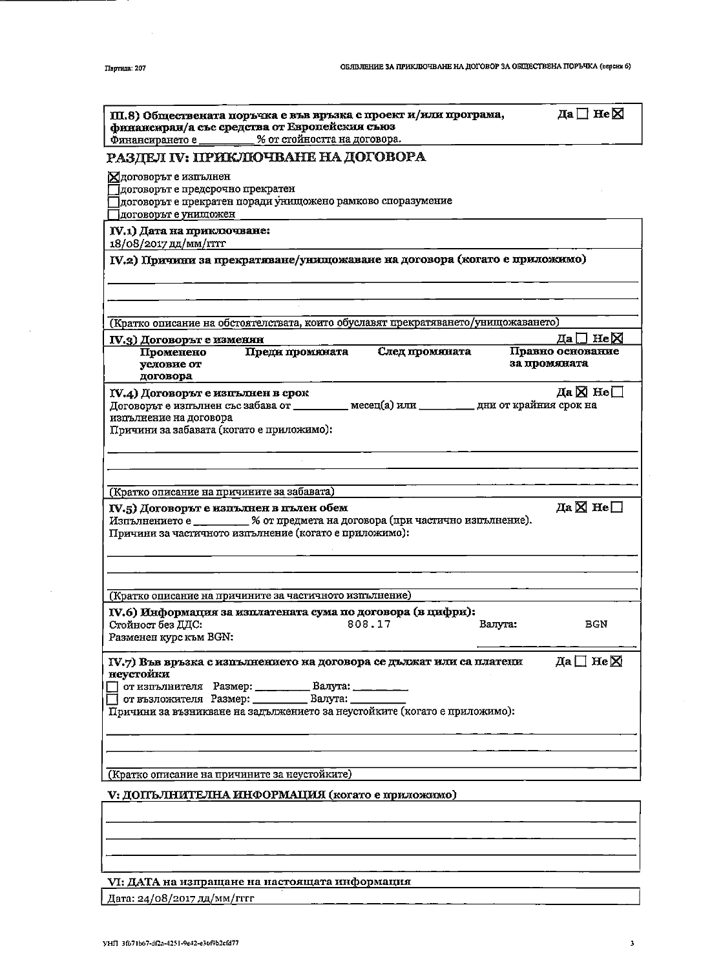| Да∏ Не⊠<br>Ш.8) Обществената поръчка е във връзка с проект и/или програма,<br>финансиран/а със средства от Европейския съюз<br>% от стойността на договора.<br>Финансирането е _________                                                                                  |  |  |  |  |  |
|---------------------------------------------------------------------------------------------------------------------------------------------------------------------------------------------------------------------------------------------------------------------------|--|--|--|--|--|
| РАЗДЕЛ IV: ПРИКЛЮЧВАНЕ НА ДОГОВОРА                                                                                                                                                                                                                                        |  |  |  |  |  |
| Хдоговорът е изпълнен<br>Јдоговорът е предсрочно прекратен<br>јдоговорът е прекратен поради унищожено рамково споразумение<br>договорът е унищожен                                                                                                                        |  |  |  |  |  |
| IV.1) Дата на приключиване:<br>18/08/2017 дд/мм/ггтт                                                                                                                                                                                                                      |  |  |  |  |  |
| IV.2) Причини за прекративане/унищожаване на договора (когато е приложимо)                                                                                                                                                                                                |  |  |  |  |  |
|                                                                                                                                                                                                                                                                           |  |  |  |  |  |
| (Кратко описание на обстоятелствата, които обуславят прекратяването/унищожаването)                                                                                                                                                                                        |  |  |  |  |  |
| Да $\square$ Не $\square$<br>IV.3) Договорът е изменян                                                                                                                                                                                                                    |  |  |  |  |  |
| След промяната<br>Правно основание<br>Преди промяжата<br>Променено<br>за промяната<br>условие от<br>договора                                                                                                                                                              |  |  |  |  |  |
| Да⊠ Не $\square$<br>IV.4) Договорът е изпълнен в срок<br>Договорът е изпълнен със забава от ________ месец(а) или ________ дни от крайния срок на<br>изпълнение на договора<br>Причини за забавата (когато е приложимо):                                                  |  |  |  |  |  |
| (Кратко описание на причините за забавата)                                                                                                                                                                                                                                |  |  |  |  |  |
| Да $\boxtimes$ Не $\Box$<br>IV.5) Договорът е изпълнен в пълен обем<br>Изпълнението е ________ % от предмета на договора (при частично изпълнение).<br>Причини за частичното изпълнение (когато е приложимо):                                                             |  |  |  |  |  |
|                                                                                                                                                                                                                                                                           |  |  |  |  |  |
| (Кратко описание на причините за частичното изпълнение)                                                                                                                                                                                                                   |  |  |  |  |  |
| IV.6) Информация за изплатената сума по договора (в цифри):<br>Стойност без ДДС:<br>808.17<br><b>BGN</b><br>Валута:<br>Разменен курс към BGN:                                                                                                                             |  |  |  |  |  |
| Да $\square$ Не $\square$<br>IV.7) Във връзка с изпълнението на договора се дължат или са платени<br>неустойки<br>от изпълнителя Размер: ________ Валута:<br>от възложителя Размер: Валута:<br>Причини за възникване на задължението за неустойките (когато е приложимо): |  |  |  |  |  |
| (Кратко описание на причините за неустойките)                                                                                                                                                                                                                             |  |  |  |  |  |
| V: ДОПЪЛНИТЕЛНА ИНФОРМАЦИЯ (когато е приложимо)                                                                                                                                                                                                                           |  |  |  |  |  |
|                                                                                                                                                                                                                                                                           |  |  |  |  |  |
|                                                                                                                                                                                                                                                                           |  |  |  |  |  |

VI: ДАТА на изпращане на настоящата информация

Дата: 24/08/2017 дд/мм/гггг